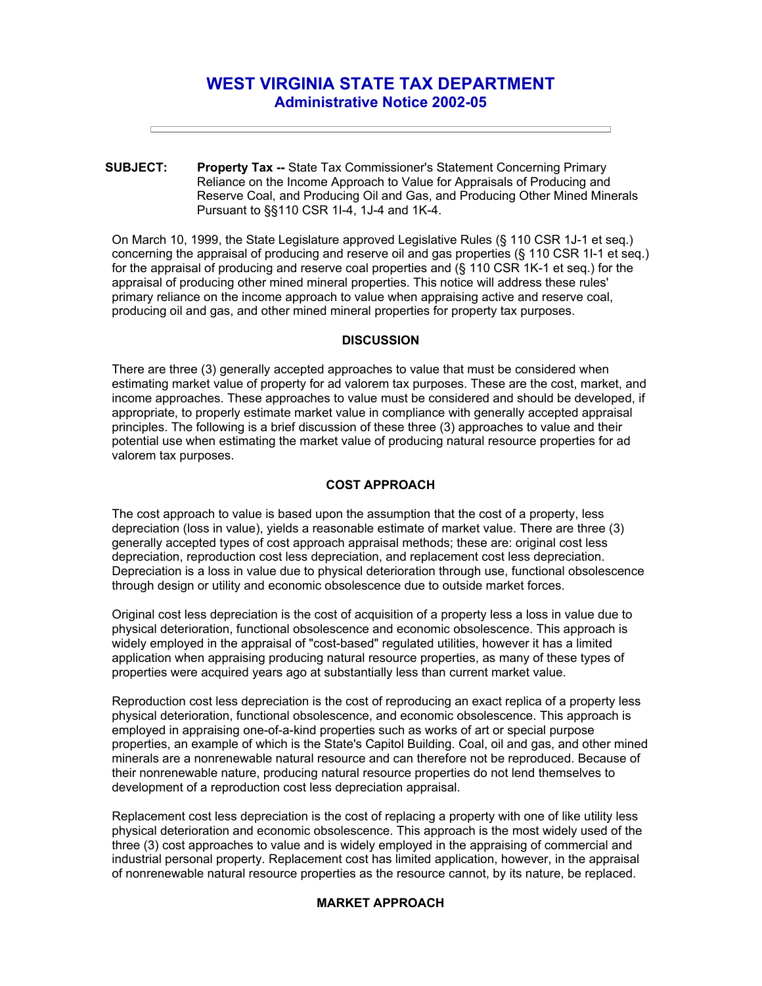# **WEST VIRGINIA STATE TAX DEPARTMENT Administrative Notice 2002-05**

**SUBJECT: Property Tax --** State Tax Commissioner's Statement Concerning Primary Reliance on the Income Approach to Value for Appraisals of Producing and Reserve Coal, and Producing Oil and Gas, and Producing Other Mined Minerals Pursuant to §§110 CSR 1I-4, 1J-4 and 1K-4.

On March 10, 1999, the State Legislature approved Legislative Rules (§ 110 CSR 1J-1 et seq.) concerning the appraisal of producing and reserve oil and gas properties (§ 110 CSR 1I-1 et seq.) for the appraisal of producing and reserve coal properties and (§ 110 CSR 1K-1 et seq.) for the appraisal of producing other mined mineral properties. This notice will address these rules' primary reliance on the income approach to value when appraising active and reserve coal, producing oil and gas, and other mined mineral properties for property tax purposes.

## **DISCUSSION**

There are three (3) generally accepted approaches to value that must be considered when estimating market value of property for ad valorem tax purposes. These are the cost, market, and income approaches. These approaches to value must be considered and should be developed, if appropriate, to properly estimate market value in compliance with generally accepted appraisal principles. The following is a brief discussion of these three (3) approaches to value and their potential use when estimating the market value of producing natural resource properties for ad valorem tax purposes.

### **COST APPROACH**

The cost approach to value is based upon the assumption that the cost of a property, less depreciation (loss in value), yields a reasonable estimate of market value. There are three (3) generally accepted types of cost approach appraisal methods; these are: original cost less depreciation, reproduction cost less depreciation, and replacement cost less depreciation. Depreciation is a loss in value due to physical deterioration through use, functional obsolescence through design or utility and economic obsolescence due to outside market forces.

Original cost less depreciation is the cost of acquisition of a property less a loss in value due to physical deterioration, functional obsolescence and economic obsolescence. This approach is widely employed in the appraisal of "cost-based" regulated utilities, however it has a limited application when appraising producing natural resource properties, as many of these types of properties were acquired years ago at substantially less than current market value.

Reproduction cost less depreciation is the cost of reproducing an exact replica of a property less physical deterioration, functional obsolescence, and economic obsolescence. This approach is employed in appraising one-of-a-kind properties such as works of art or special purpose properties, an example of which is the State's Capitol Building. Coal, oil and gas, and other mined minerals are a nonrenewable natural resource and can therefore not be reproduced. Because of their nonrenewable nature, producing natural resource properties do not lend themselves to development of a reproduction cost less depreciation appraisal.

Replacement cost less depreciation is the cost of replacing a property with one of like utility less physical deterioration and economic obsolescence. This approach is the most widely used of the three (3) cost approaches to value and is widely employed in the appraising of commercial and industrial personal property. Replacement cost has limited application, however, in the appraisal of nonrenewable natural resource properties as the resource cannot, by its nature, be replaced.

# **MARKET APPROACH**